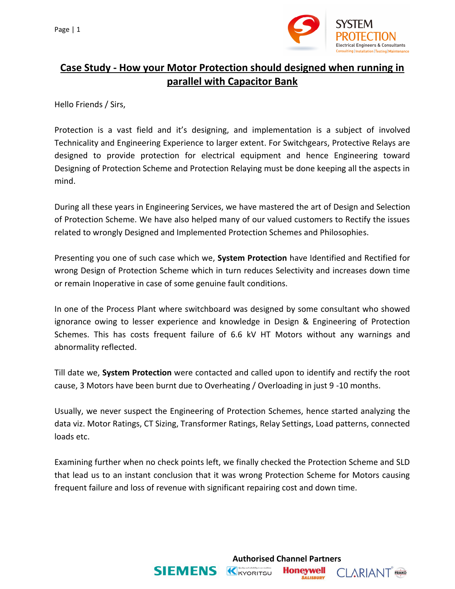

## **Case Study - How your Motor Protection should designed when running in parallel with Capacitor Bank**

Hello Friends / Sirs,

Protection is a vast field and it's designing, and implementation is a subject of involved Technicality and Engineering Experience to larger extent. For Switchgears, Protective Relays are designed to provide protection for electrical equipment and hence Engineering toward Designing of Protection Scheme and Protection Relaying must be done keeping all the aspects in mind.

During all these years in Engineering Services, we have mastered the art of Design and Selection of Protection Scheme. We have also helped many of our valued customers to Rectify the issues related to wrongly Designed and Implemented Protection Schemes and Philosophies.

Presenting you one of such case which we, **System Protection** have Identified and Rectified for wrong Design of Protection Scheme which in turn reduces Selectivity and increases down time or remain Inoperative in case of some genuine fault conditions.

In one of the Process Plant where switchboard was designed by some consultant who showed ignorance owing to lesser experience and knowledge in Design & Engineering of Protection Schemes. This has costs frequent failure of 6.6 kV HT Motors without any warnings and abnormality reflected.

Till date we, **System Protection** were contacted and called upon to identify and rectify the root cause, 3 Motors have been burnt due to Overheating / Overloading in just 9 -10 months.

Usually, we never suspect the Engineering of Protection Schemes, hence started analyzing the data viz. Motor Ratings, CT Sizing, Transformer Ratings, Relay Settings, Load patterns, connected loads etc.

Examining further when no check points left, we finally checked the Protection Scheme and SLD that lead us to an instant conclusion that it was wrong Protection Scheme for Motors causing frequent failure and loss of revenue with significant repairing cost and down time.

**Honeywell** 

**SALISBURY** 

**CLARIANT** FRAKO

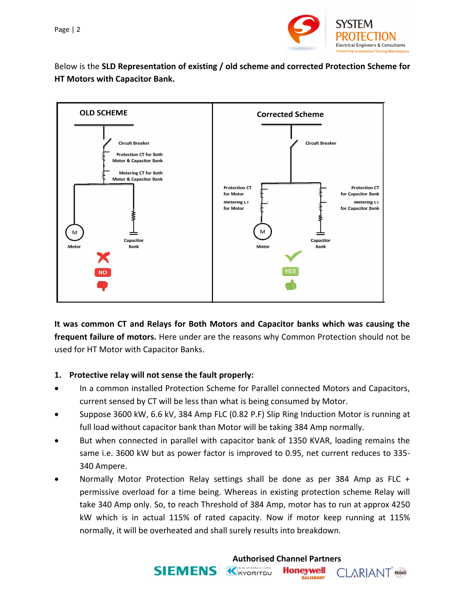

Below is the **SLD Representation of existing / old scheme and corrected Protection Scheme for HT Motors with Capacitor Bank.**



**It was common CT and Relays for Both Motors and Capacitor banks which was causing the frequent failure of motors.** Here under are the reasons why Common Protection should not be used for HT Motor with Capacitor Banks.

## **1. Protective relay will not sense the fault properly:**

- In a common installed Protection Scheme for Parallel connected Motors and Capacitors, current sensed by CT will be less than what is being consumed by Motor.
- Suppose 3600 kW, 6.6 kV, 384 Amp FLC (0.82 P.F) Slip Ring Induction Motor is running at full load without capacitor bank than Motor will be taking 384 Amp normally.
- But when connected in parallel with capacitor bank of 1350 KVAR, loading remains the same i.e. 3600 kW but as power factor is improved to 0.95, net current reduces to 335- 340 Ampere.
- Normally Motor Protection Relay settings shall be done as per 384 Amp as FLC + permissive overload for a time being. Whereas in existing protection scheme Relay will take 340 Amp only. So, to reach Threshold of 384 Amp, motor has to run at approx 4250 kW which is in actual 115% of rated capacity. Now if motor keep running at 115% normally, it will be overheated and shall surely results into breakdown.

**SIEMENS K**KYORITSU

**Authorised Channel Partners**

**Honeywell** 

**SALISBURY** 

**CLARIANT** FRAKO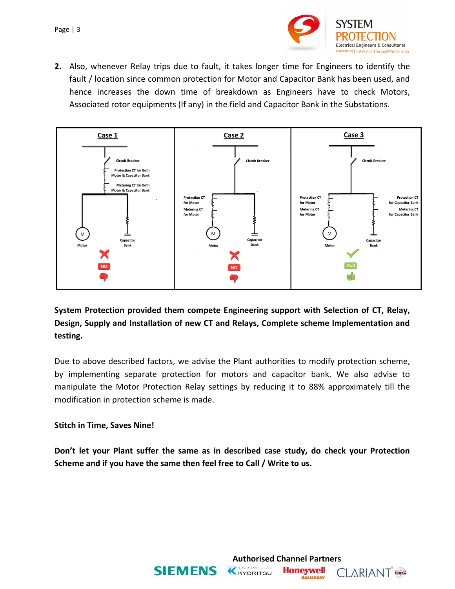

**2.** Also, whenever Relay trips due to fault, it takes longer time for Engineers to identify the fault / location since common protection for Motor and Capacitor Bank has been used, and hence increases the down time of breakdown as Engineers have to check Motors, Associated rotor equipments (If any) in the field and Capacitor Bank in the Substations.



**System Protection provided them compete Engineering support with Selection of CT, Relay, Design, Supply and Installation of new CT and Relays, Complete scheme Implementation and testing.**

Due to above described factors, we advise the Plant authorities to modify protection scheme, by implementing separate protection for motors and capacitor bank. We also advise to manipulate the Motor Protection Relay settings by reducing it to 88% approximately till the modification in protection scheme is made.

## **Stitch in Time, Saves Nine!**

**Don't let your Plant suffer the same as in described case study, do check your Protection Scheme and if you have the same then feel free to Call / Write to us.**

**Authorised Channel Partners**

**Honeywell** 

**SALISBURY** 

**CLARIANT** FRAKO